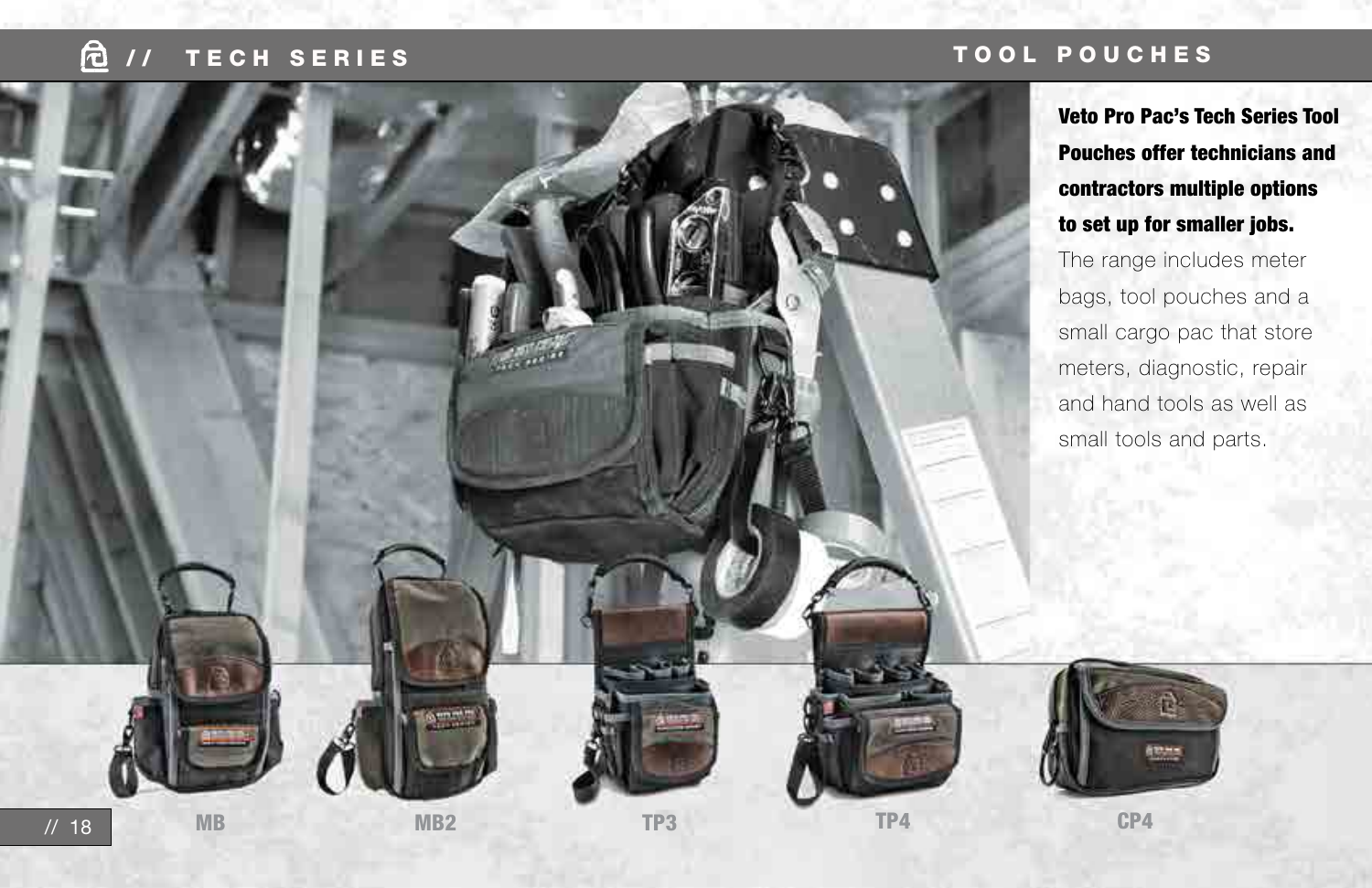## **E** // TECH SERIES

### TOOL POUCHES

Veto Pro Pac's Tech Series Tool Pouches offer technicians and contractors multiple options to set up for smaller jobs.

The range includes meter bags, tool pouches and a small cargo pac that store meters, diagnostic, repair and hand tools as well as small tools and parts.



MB MB2 TP3 TP4 CP4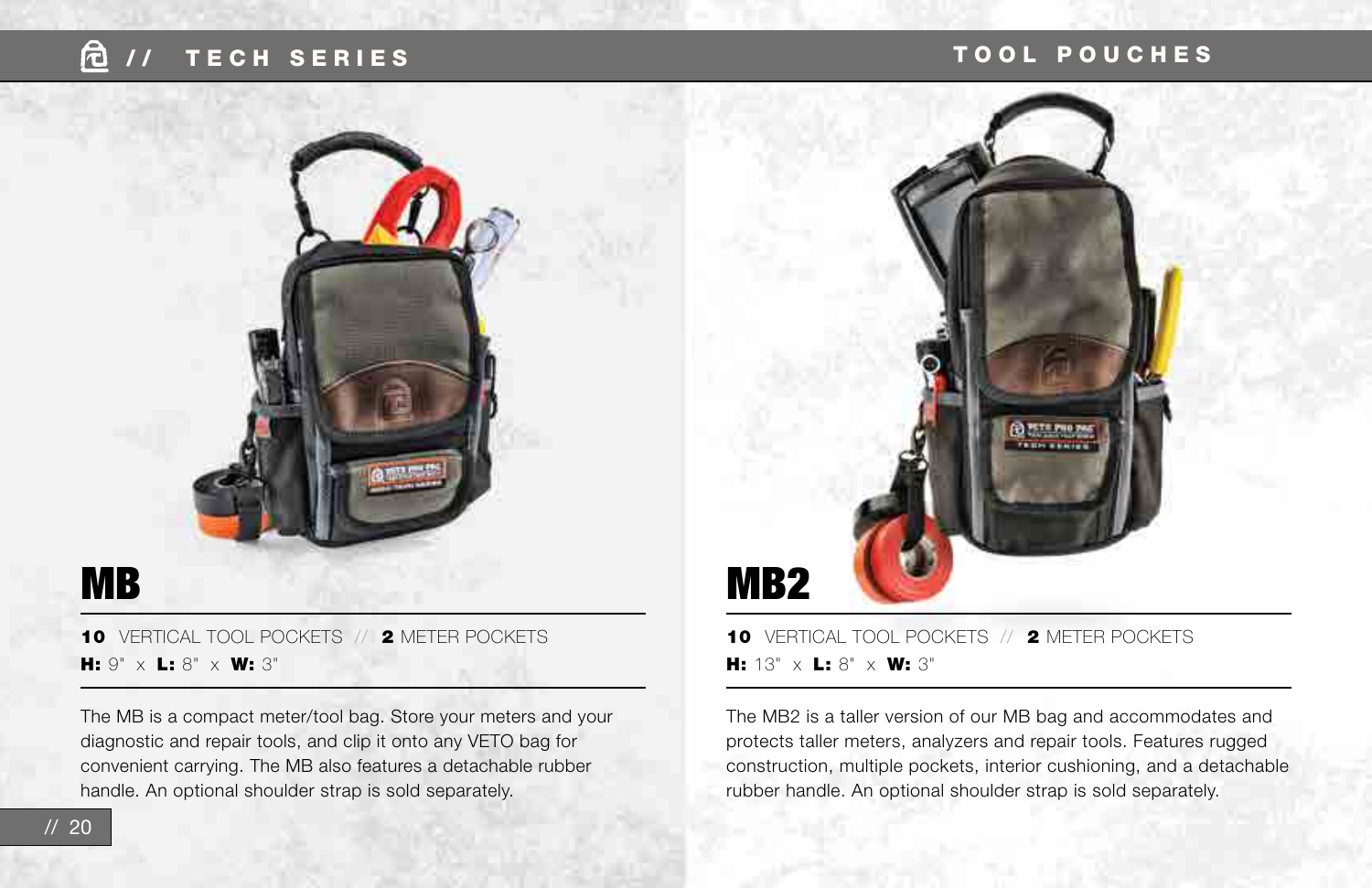## / / TECH SERIES TOOL POUCHES



10 VERTICAL TOOL POCKETS // 2 METER POCKETS H: 13"  $\times$  L: 8"  $\times$  W: 3"

The MB2 is a taller version of our MB bag and accommodates and protects taller meters, analyzers and repair tools. Features rugged construction, multiple pockets, interior cushioning, and a detachable rubber handle. An optional shoulder strap is sold separately.

10 VERTICAL TOOL POCKETS // 2 METER POCKETS H: 9"  $\times$  L: 8"  $\times$  W: 3"

The MB is a compact meter/tool bag. Store your meters and your diagnostic and repair tools, and clip it onto any VETO bag for convenient carrying. The MB also features a detachable rubber handle. An optional shoulder strap is sold separately.